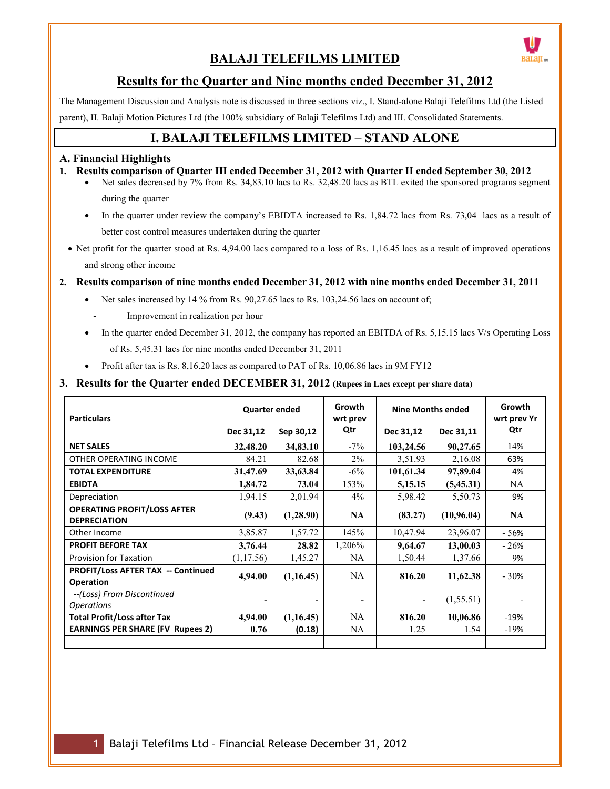# **BALAJI TELEFILMS LIMITED**



## **Results for the Quarter and Nine months ended December 31, 2012**

The Management Discussion and Analysis note is discussed in three sections viz., I. Stand-alone Balaji Telefilms Ltd (the Listed parent), II. Balaji Motion Pictures Ltd (the 100% subsidiary of Balaji Telefilms Ltd) and III. Consolidated Statements.

## **I. BALAJI TELEFILMS LIMITED – STAND ALONE**

#### **A. Financial Highlights**

- **1. Results comparison of Quarter III ended December 31, 2012 with Quarter II ended September 30, 2012** 
	- Net sales decreased by 7% from Rs. 34,83.10 lacs to Rs. 32,48.20 lacs as BTL exited the sponsored programs segment during the quarter
	- In the quarter under review the company's EBIDTA increased to Rs. 1,84.72 lacs from Rs. 73,04 lacs as a result of better cost control measures undertaken during the quarter
	- Net profit for the quarter stood at Rs. 4,94.00 lacs compared to a loss of Rs. 1,16.45 lacs as a result of improved operations and strong other income

#### **2. Results comparison of nine months ended December 31, 2012 with nine months ended December 31, 2011**

- Net sales increased by 14 % from Rs. 90,27.65 lacs to Rs. 103,24.56 lacs on account of;
	- Improvement in realization per hour
- In the quarter ended December 31, 2012, the company has reported an EBITDA of Rs. 5,15.15 lacs V/s Operating Loss of Rs. 5,45.31 lacs for nine months ended December 31, 2011
- Profit after tax is Rs. 8,16.20 lacs as compared to PAT of Rs. 10,06.86 lacs in 9M FY12

#### **3. Results for the Quarter ended DECEMBER 31, 2012 (Rupees in Lacs except per share data)**

| <b>Particulars</b>                                        | <b>Quarter ended</b> |           | Growth<br>wrt prev | <b>Nine Months ended</b> |             | Growth<br>wrt prev Yr |  |
|-----------------------------------------------------------|----------------------|-----------|--------------------|--------------------------|-------------|-----------------------|--|
|                                                           | Dec 31,12            | Sep 30,12 | Qtr                | Dec 31,12                | Dec 31,11   | Qtr                   |  |
| <b>NET SALES</b>                                          | 32,48.20             | 34,83.10  | $-7\%$             | 103,24.56                | 90,27.65    | 14%                   |  |
| OTHER OPERATING INCOME                                    | 84.21                | 82.68     | $2\%$              | 3,51.93                  | 2,16.08     | 63%                   |  |
| <b>TOTAL EXPENDITURE</b>                                  | 31,47.69             | 33,63.84  | $-6\%$             | 101,61.34                | 97,89.04    | 4%                    |  |
| <b>EBIDTA</b>                                             | 1,84.72              | 73.04     | 153%               | 5,15.15                  | (5,45.31)   | NA.                   |  |
| Depreciation                                              | 1,94.15              | 2,01.94   | $4\%$              | 5,98.42                  | 5,50.73     | 9%                    |  |
| <b>OPERATING PROFIT/LOSS AFTER</b><br><b>DEPRECIATION</b> | (9.43)               | (1,28.90) | <b>NA</b>          | (83.27)                  | (10, 96.04) | <b>NA</b>             |  |
| Other Income                                              | 3,85.87              | 1,57.72   | 145%               | 10,47.94                 | 23,96.07    | - 56%                 |  |
| <b>PROFIT BEFORE TAX</b>                                  | 3,76.44              | 28.82     | 1,206%             | 9,64.67                  | 13,00.03    | $-26%$                |  |
| <b>Provision for Taxation</b>                             | (1, 17.56)           | 1,45.27   | <b>NA</b>          | 1,50.44                  | 1,37.66     | 9%                    |  |
| PROFIT/Loss AFTER TAX -- Continued<br><b>Operation</b>    | 4,94.00              | (1,16.45) | NA.                | 816.20                   | 11,62.38    | $-30%$                |  |
| --(Loss) From Discontinued<br><i><b>Operations</b></i>    |                      |           |                    | -                        | (1, 55.51)  |                       |  |
| <b>Total Profit/Loss after Tax</b>                        | 4,94.00              | (1,16.45) | NA                 | 816.20                   | 10,06.86    | $-19%$                |  |
| <b>EARNINGS PER SHARE (FV Rupees 2)</b>                   | 0.76                 | (0.18)    | NA                 | 1.25                     | 1.54        | $-19%$                |  |
|                                                           |                      |           |                    |                          |             |                       |  |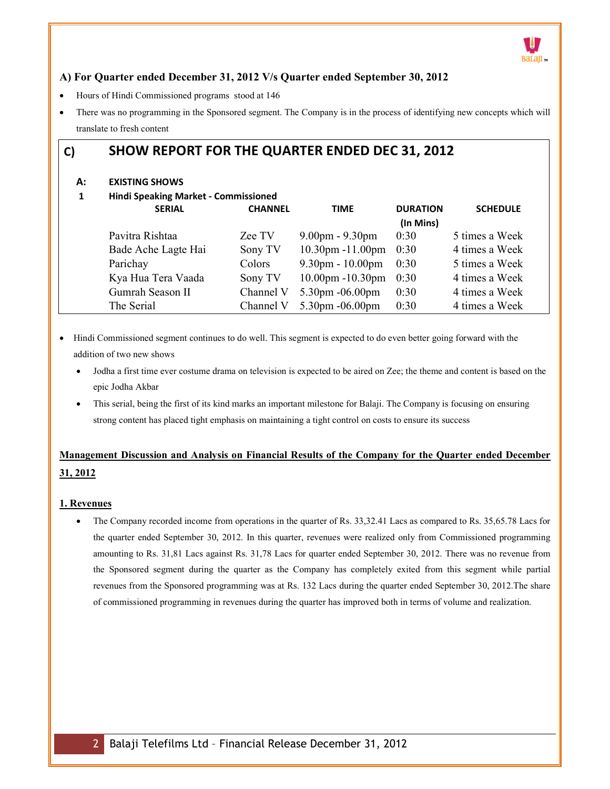

### **A) For Quarter ended December 31, 2012 V/s Quarter ended September 30, 2012**

- Hours of Hindi Commissioned programs stood at 146
- There was no programming in the Sponsored segment. The Company is in the process of identifying new concepts which will translate to fresh content

## **C) SHOW REPORT FOR THE QUARTER ENDED DEC 31, 2012**

#### **A: EXISTING SHOWS**

**1 Hindi Speaking Market - Commissioned** 

| <b>SERIAL</b>       | <b>CHANNEL</b> | <b>TIME</b>                        | <b>DURATION</b> | <b>SCHEDULE</b> |
|---------------------|----------------|------------------------------------|-----------------|-----------------|
|                     |                |                                    | (In Mins)       |                 |
| Pavitra Rishtaa     | Zee TV         | $9.00 \text{pm} - 9.30 \text{pm}$  | 0:30            | 5 times a Week  |
| Bade Ache Lagte Hai | Sony TV        | $10.30$ pm $-11.00$ pm             | 0:30            | 4 times a Week  |
| Parichay            | Colors         | $9.30 \text{pm} - 10.00 \text{pm}$ | 0:30            | 5 times a Week  |
| Kya Hua Tera Vaada  | Sony TV        | $10.00$ pm $-10.30$ pm             | 0:30            | 4 times a Week  |
| Gumrah Season II    | Channel V      | 5.30pm -06.00pm                    | 0:30            | 4 times a Week  |
| The Serial          | Channel V      | $5.30$ pm $-06.00$ pm              | 0:30            | 4 times a Week  |

- Hindi Commissioned segment continues to do well. This segment is expected to do even better going forward with the addition of two new shows
	- Jodha a first time ever costume drama on television is expected to be aired on Zee; the theme and content is based on the epic Jodha Akbar
	- This serial, being the first of its kind marks an important milestone for Balaji. The Company is focusing on ensuring strong content has placed tight emphasis on maintaining a tight control on costs to ensure its success

## **Management Discussion and Analysis on Financial Results of the Company for the Quarter ended December 31, 2012**

#### **1. Revenues**

• The Company recorded income from operations in the quarter of Rs. 33,32.41 Lacs as compared to Rs. 35,65.78 Lacs for the quarter ended September 30, 2012. In this quarter, revenues were realized only from Commissioned programming amounting to Rs. 31,81 Lacs against Rs. 31,78 Lacs for quarter ended September 30, 2012. There was no revenue from the Sponsored segment during the quarter as the Company has completely exited from this segment while partial revenues from the Sponsored programming was at Rs. 132 Lacs during the quarter ended September 30, 2012.The share of commissioned programming in revenues during the quarter has improved both in terms of volume and realization.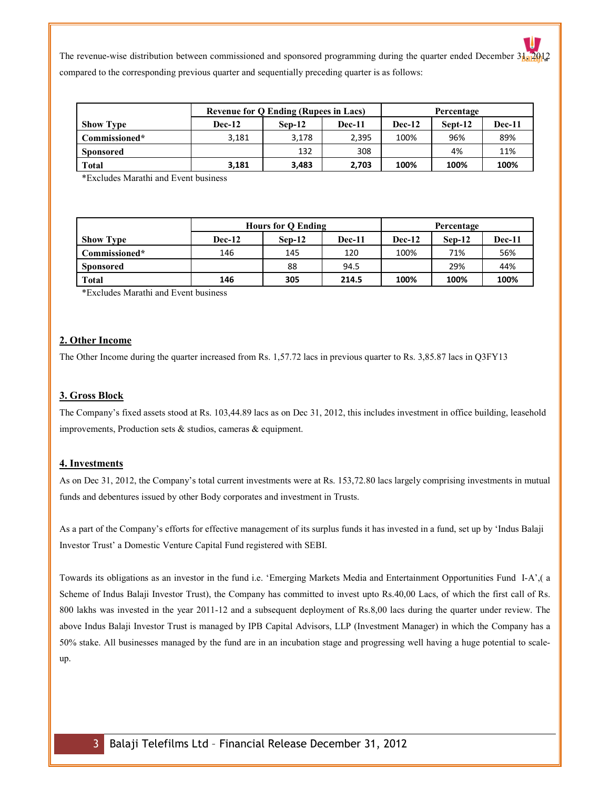The revenue-wise distribution between commissioned and sponsored programming during the quarter ended December  $3\frac{1}{20}$   $2012$ compared to the corresponding previous quarter and sequentially preceding quarter is as follows:

|                  | <b>Revenue for Q Ending (Rupees in Lacs)</b> |          |               | Percentage |         |        |
|------------------|----------------------------------------------|----------|---------------|------------|---------|--------|
| <b>Show Type</b> | <b>Dec-12</b>                                | $Sen-12$ | <b>Dec-11</b> | Dec-12     | Sept-12 | Dec-11 |
| Commissioned*    | 3,181                                        | 3,178    | 2,395         | 100%       | 96%     | 89%    |
| <b>Sponsored</b> |                                              | 132      | 308           |            | 4%      | 11%    |
| <b>Total</b>     | 3,181                                        | 3,483    | 2,703         | 100%       | 100%    | 100%   |

\*Excludes Marathi and Event business

|                  | <b>Hours for O Ending</b> |          |               | Percentage |          |        |
|------------------|---------------------------|----------|---------------|------------|----------|--------|
| <b>Show Type</b> | <b>Dec-12</b>             | $Sen-12$ | <b>Dec-11</b> | Dec-12     | $Sen-12$ | Dec-11 |
| Commissioned*    | 146                       | 145      | 120           | 100%       | 71%      | 56%    |
| <b>Sponsored</b> |                           | 88       | 94.5          |            | 29%      | 44%    |
| <b>Total</b>     | 146                       | 305      | 214.5         | 100%       | 100%     | 100%   |

\*Excludes Marathi and Event business

#### **2. Other Income**

The Other Income during the quarter increased from Rs. 1,57.72 lacs in previous quarter to Rs. 3,85.87 lacs in Q3FY13

#### **3. Gross Block**

The Company's fixed assets stood at Rs. 103,44.89 lacs as on Dec 31, 2012, this includes investment in office building, leasehold improvements, Production sets & studios, cameras & equipment.

#### **4. Investments**

As on Dec 31, 2012, the Company's total current investments were at Rs. 153,72.80 lacs largely comprising investments in mutual funds and debentures issued by other Body corporates and investment in Trusts.

As a part of the Company's efforts for effective management of its surplus funds it has invested in a fund, set up by 'Indus Balaji Investor Trust' a Domestic Venture Capital Fund registered with SEBI.

Towards its obligations as an investor in the fund i.e. 'Emerging Markets Media and Entertainment Opportunities Fund I-A',( a Scheme of Indus Balaji Investor Trust), the Company has committed to invest upto Rs.40,00 Lacs, of which the first call of Rs. 800 lakhs was invested in the year 2011-12 and a subsequent deployment of Rs.8,00 lacs during the quarter under review. The above Indus Balaji Investor Trust is managed by IPB Capital Advisors, LLP (Investment Manager) in which the Company has a 50% stake. All businesses managed by the fund are in an incubation stage and progressing well having a huge potential to scaleup.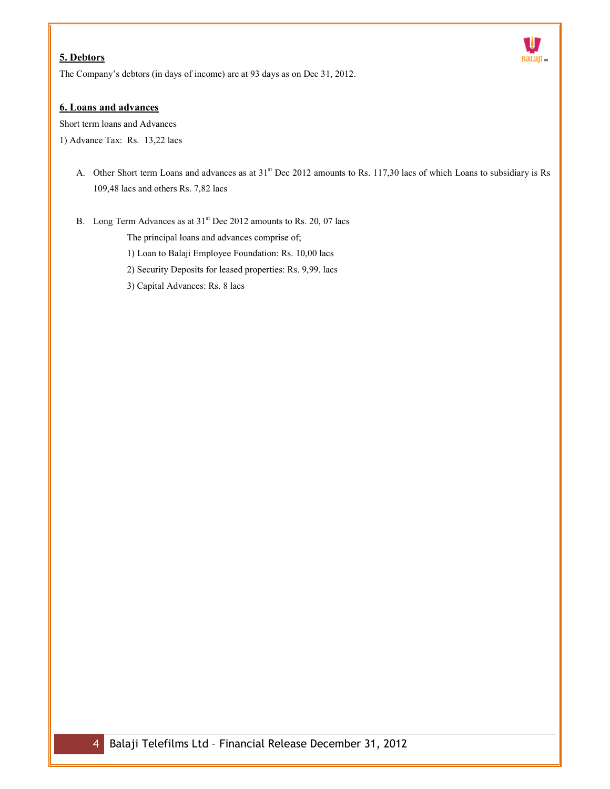## **5. Debtors**



The Company's debtors (in days of income) are at 93 days as on Dec 31, 2012.

#### **6. Loans and advances**

Short term loans and Advances

1) Advance Tax: Rs. 13,22 lacs

- A. Other Short term Loans and advances as at  $31<sup>st</sup>$  Dec 2012 amounts to Rs. 117,30 lacs of which Loans to subsidiary is Rs 109,48 lacs and others Rs. 7,82 lacs
- B. Long Term Advances as at  $31<sup>st</sup>$  Dec 2012 amounts to Rs. 20, 07 lacs

The principal loans and advances comprise of;

1) Loan to Balaji Employee Foundation: Rs. 10,00 lacs

2) Security Deposits for leased properties: Rs. 9,99. lacs

3) Capital Advances: Rs. 8 lacs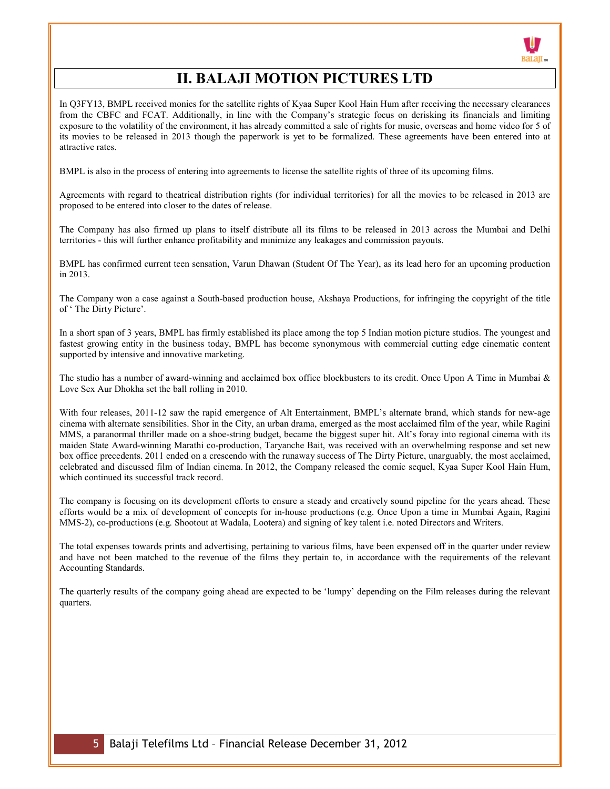

# **II. BALAJI MOTION PICTURES LTD**

In Q3FY13, BMPL received monies for the satellite rights of Kyaa Super Kool Hain Hum after receiving the necessary clearances from the CBFC and FCAT. Additionally, in line with the Company's strategic focus on derisking its financials and limiting exposure to the volatility of the environment, it has already committed a sale of rights for music, overseas and home video for 5 of its movies to be released in 2013 though the paperwork is yet to be formalized. These agreements have been entered into at attractive rates.

BMPL is also in the process of entering into agreements to license the satellite rights of three of its upcoming films.

Agreements with regard to theatrical distribution rights (for individual territories) for all the movies to be released in 2013 are proposed to be entered into closer to the dates of release.

The Company has also firmed up plans to itself distribute all its films to be released in 2013 across the Mumbai and Delhi territories - this will further enhance profitability and minimize any leakages and commission payouts.

BMPL has confirmed current teen sensation, Varun Dhawan (Student Of The Year), as its lead hero for an upcoming production in 2013.

The Company won a case against a South-based production house, Akshaya Productions, for infringing the copyright of the title of ' The Dirty Picture'.

In a short span of 3 years, BMPL has firmly established its place among the top 5 Indian motion picture studios. The youngest and fastest growing entity in the business today, BMPL has become synonymous with commercial cutting edge cinematic content supported by intensive and innovative marketing.

The studio has a number of award-winning and acclaimed box office blockbusters to its credit. Once Upon A Time in Mumbai & Love Sex Aur Dhokha set the ball rolling in 2010.

With four releases, 2011-12 saw the rapid emergence of Alt Entertainment, BMPL's alternate brand, which stands for new-age cinema with alternate sensibilities. Shor in the City, an urban drama, emerged as the most acclaimed film of the year, while Ragini MMS, a paranormal thriller made on a shoe-string budget, became the biggest super hit. Alt's foray into regional cinema with its maiden State Award-winning Marathi co-production, Taryanche Bait, was received with an overwhelming response and set new box office precedents. 2011 ended on a crescendo with the runaway success of The Dirty Picture, unarguably, the most acclaimed, celebrated and discussed film of Indian cinema. In 2012, the Company released the comic sequel, Kyaa Super Kool Hain Hum, which continued its successful track record.

The company is focusing on its development efforts to ensure a steady and creatively sound pipeline for the years ahead. These efforts would be a mix of development of concepts for in-house productions (e.g. Once Upon a time in Mumbai Again, Ragini MMS-2), co-productions (e.g. Shootout at Wadala, Lootera) and signing of key talent i.e. noted Directors and Writers.

The total expenses towards prints and advertising, pertaining to various films, have been expensed off in the quarter under review and have not been matched to the revenue of the films they pertain to, in accordance with the requirements of the relevant Accounting Standards.

The quarterly results of the company going ahead are expected to be 'lumpy' depending on the Film releases during the relevant quarters.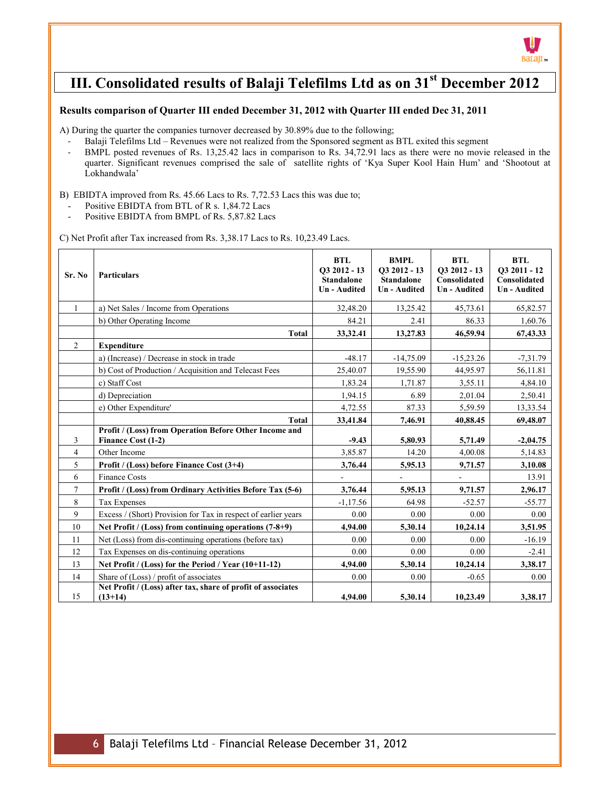

# **III. Consolidated results of Balaji Telefilms Ltd as on 31st December 2012**

#### **Results comparison of Quarter III ended December 31, 2012 with Quarter III ended Dec 31, 2011**

A) During the quarter the companies turnover decreased by 30.89% due to the following;

- Balaji Telefilms Ltd Revenues were not realized from the Sponsored segment as BTL exited this segment
- BMPL posted revenues of Rs. 13,25.42 lacs in comparison to Rs. 34,72.91 lacs as there were no movie released in the quarter. Significant revenues comprised the sale of satellite rights of 'Kya Super Kool Hain Hum' and 'Shootout at Lokhandwala'

B) EBIDTA improved from Rs. 45.66 Lacs to Rs. 7,72.53 Lacs this was due to;

- Positive EBIDTA from BTL of R s. 1,84.72 Lacs
- Positive EBIDTA from BMPL of Rs. 5,87.82 Lacs

C) Net Profit after Tax increased from Rs. 3,38.17 Lacs to Rs. 10,23.49 Lacs.

| Sr. No         | <b>Particulars</b>                                                           | <b>BTL</b><br>O3 2012 - 13<br><b>Standalone</b><br><b>Un-Audited</b> | <b>BMPL</b><br>$Q32012 - 13$<br><b>Standalone</b><br><b>Un-Audited</b> | <b>BTL</b><br>$Q32012 - 13$<br>Consolidated<br><b>Un-Audited</b> | <b>BTL</b><br>O3 2011 - 12<br><b>Consolidated</b><br><b>Un-Audited</b> |
|----------------|------------------------------------------------------------------------------|----------------------------------------------------------------------|------------------------------------------------------------------------|------------------------------------------------------------------|------------------------------------------------------------------------|
| $\mathbf{1}$   | a) Net Sales / Income from Operations                                        | 32,48.20                                                             | 13,25.42                                                               | 45,73.61                                                         | 65,82.57                                                               |
|                | b) Other Operating Income                                                    | 84.21                                                                | 2.41                                                                   | 86.33                                                            | 1,60.76                                                                |
|                | <b>Total</b>                                                                 | 33,32.41                                                             | 13,27.83                                                               | 46,59.94                                                         | 67,43.33                                                               |
| $\overline{2}$ | <b>Expenditure</b>                                                           |                                                                      |                                                                        |                                                                  |                                                                        |
|                | a) (Increase) / Decrease in stock in trade                                   | $-48.17$                                                             | $-14,75.09$                                                            | $-15,23.26$                                                      | $-7,31.79$                                                             |
|                | b) Cost of Production / Acquisition and Telecast Fees                        | 25,40.07                                                             | 19,55.90                                                               | 44,95.97                                                         | 56,11.81                                                               |
|                | c) Staff Cost                                                                | 1,83.24                                                              | 1,71.87                                                                | 3,55.11                                                          | 4,84.10                                                                |
|                | d) Depreciation                                                              | 1,94.15                                                              | 6.89                                                                   | 2,01.04                                                          | 2,50.41                                                                |
|                | e) Other Expenditure'                                                        | 4,72.55                                                              | 87.33                                                                  | 5,59.59                                                          | 13,33.54                                                               |
|                | <b>Total</b>                                                                 | 33,41.84                                                             | 7,46.91                                                                | 40,88.45                                                         | 69,48.07                                                               |
| 3              | Profit / (Loss) from Operation Before Other Income and<br>Finance Cost (1-2) | $-9.43$                                                              | 5,80.93                                                                | 5,71.49                                                          | $-2,04.75$                                                             |
| $\overline{4}$ | Other Income                                                                 | 3,85.87                                                              | 14.20                                                                  | 4,00.08                                                          | 5,14.83                                                                |
| 5              | Profit / (Loss) before Finance Cost (3+4)                                    | 3,76.44                                                              | 5,95.13                                                                | 9,71.57                                                          | 3,10.08                                                                |
| 6              | <b>Finance Costs</b>                                                         |                                                                      |                                                                        |                                                                  | 13.91                                                                  |
| $\tau$         | <b>Profit / (Loss) from Ordinary Activities Before Tax (5-6)</b>             | 3,76.44                                                              | 5,95.13                                                                | 9,71.57                                                          | 2,96.17                                                                |
| 8              | <b>Tax Expenses</b>                                                          | $-1,17.56$                                                           | 64.98                                                                  | $-52.57$                                                         | $-55.77$                                                               |
| 9              | Excess / (Short) Provision for Tax in respect of earlier years               | 0.00                                                                 | 0.00                                                                   | 0.00                                                             | 0.00                                                                   |
| 10             | Net Profit / (Loss) from continuing operations (7-8+9)                       | 4,94.00                                                              | 5,30.14                                                                | 10,24.14                                                         | 3,51.95                                                                |
| 11             | Net (Loss) from dis-continuing operations (before tax)                       | 0.00                                                                 | 0.00                                                                   | 0.00                                                             | $-16.19$                                                               |
| 12             | Tax Expenses on dis-continuing operations                                    | 0.00                                                                 | 0.00                                                                   | 0.00                                                             | $-2.41$                                                                |
| 13             | Net Profit / (Loss) for the Period / Year $(10+11-12)$                       | 4,94.00                                                              | 5,30.14                                                                | 10,24.14                                                         | 3,38.17                                                                |
| 14             | Share of (Loss) / profit of associates                                       | 0.00                                                                 | 0.00                                                                   | $-0.65$                                                          | 0.00                                                                   |
| 15             | Net Profit / (Loss) after tax, share of profit of associates<br>$(13+14)$    | 4,94.00                                                              | 5,30.14                                                                | 10,23.49                                                         | 3,38.17                                                                |